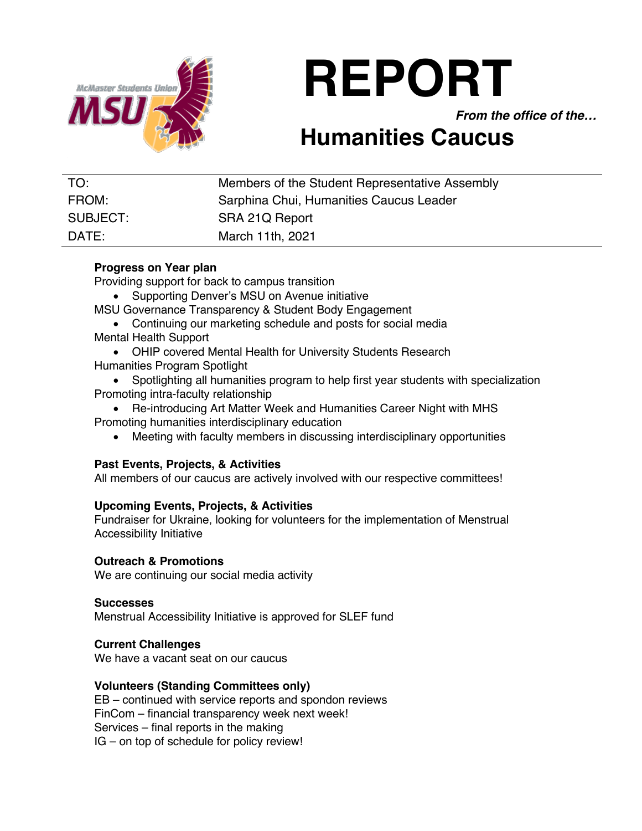

# **REPORT**

*From the office of the…*

# **Humanities Caucus**

| TO:      | Members of the Student Representative Assembly |
|----------|------------------------------------------------|
| FROM:    | Sarphina Chui, Humanities Caucus Leader        |
| SUBJECT: | SRA 21Q Report                                 |
| DATE:    | March 11th, 2021                               |

# **Progress on Year plan**

Providing support for back to campus transition

- Supporting Denver's MSU on Avenue initiative
- MSU Governance Transparency & Student Body Engagement
- Continuing our marketing schedule and posts for social media Mental Health Support
- OHIP covered Mental Health for University Students Research Humanities Program Spotlight
- Spotlighting all humanities program to help first year students with specialization Promoting intra-faculty relationship
- Re-introducing Art Matter Week and Humanities Career Night with MHS Promoting humanities interdisciplinary education
	- Meeting with faculty members in discussing interdisciplinary opportunities

## **Past Events, Projects, & Activities**

All members of our caucus are actively involved with our respective committees!

## **Upcoming Events, Projects, & Activities**

Fundraiser for Ukraine, looking for volunteers for the implementation of Menstrual Accessibility Initiative

## **Outreach & Promotions**

We are continuing our social media activity

#### **Successes**

Menstrual Accessibility Initiative is approved for SLEF fund

#### **Current Challenges**

We have a vacant seat on our caucus

#### **Volunteers (Standing Committees only)**

EB – continued with service reports and spondon reviews FinCom – financial transparency week next week! Services – final reports in the making IG – on top of schedule for policy review!